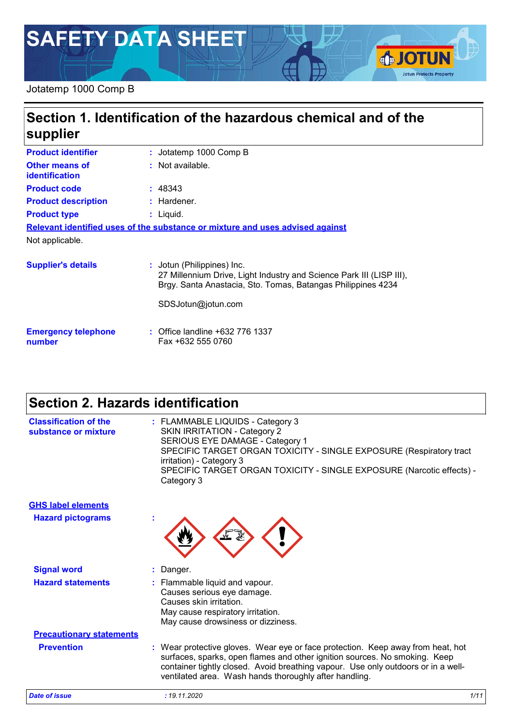# **SAFETY DATA SHEET**

#### Jotatemp 1000 Comp B

### **Section 1. Identification of the hazardous chemical and of the supplier**

| <b>Product identifier</b>        | : Jotatemp 1000 Comp B                                                                                                                                                                   |
|----------------------------------|------------------------------------------------------------------------------------------------------------------------------------------------------------------------------------------|
| Other means of<br>identification | : Not available.                                                                                                                                                                         |
| <b>Product code</b>              | : 48343                                                                                                                                                                                  |
| <b>Product description</b>       | : Hardener.                                                                                                                                                                              |
| <b>Product type</b>              | : Liguid.                                                                                                                                                                                |
|                                  | Relevant identified uses of the substance or mixture and uses advised against                                                                                                            |
| Not applicable.                  |                                                                                                                                                                                          |
| <b>Supplier's details</b>        | : Jotun (Philippines) Inc.<br>27 Millennium Drive, Light Industry and Science Park III (LISP III),<br>Brgy. Santa Anastacia, Sto. Tomas, Batangas Philippines 4234<br>SDSJotun@jotun.com |
|                                  |                                                                                                                                                                                          |

**Emergency telephone number :** Office landline +632 776 1337 Fax +632 555 0760

### **Section 2. Hazards identification**

| <b>Date of issue</b>                                 | : 19.11.2020<br>1/11                                                                                                                                                                                                                                                                                         |
|------------------------------------------------------|--------------------------------------------------------------------------------------------------------------------------------------------------------------------------------------------------------------------------------------------------------------------------------------------------------------|
| <b>Prevention</b>                                    | : Wear protective gloves. Wear eye or face protection. Keep away from heat, hot<br>surfaces, sparks, open flames and other ignition sources. No smoking. Keep<br>container tightly closed. Avoid breathing vapour. Use only outdoors or in a well-<br>ventilated area. Wash hands thoroughly after handling. |
| <b>Precautionary statements</b>                      | May cause respiratory irritation.<br>May cause drowsiness or dizziness.                                                                                                                                                                                                                                      |
| <b>Hazard statements</b>                             | : Flammable liquid and vapour.<br>Causes serious eye damage.<br>Causes skin irritation.                                                                                                                                                                                                                      |
| <b>Signal word</b>                                   | : Danger.                                                                                                                                                                                                                                                                                                    |
| <b>Hazard pictograms</b>                             |                                                                                                                                                                                                                                                                                                              |
| <b>GHS label elements</b>                            |                                                                                                                                                                                                                                                                                                              |
| <b>Classification of the</b><br>substance or mixture | : FLAMMABLE LIQUIDS - Category 3<br><b>SKIN IRRITATION - Category 2</b><br>SERIOUS EYE DAMAGE - Category 1<br>SPECIFIC TARGET ORGAN TOXICITY - SINGLE EXPOSURE (Respiratory tract<br>irritation) - Category 3<br>SPECIFIC TARGET ORGAN TOXICITY - SINGLE EXPOSURE (Narcotic effects) -<br>Category 3         |

**SJOTUN** 

**Jotun Protects Property**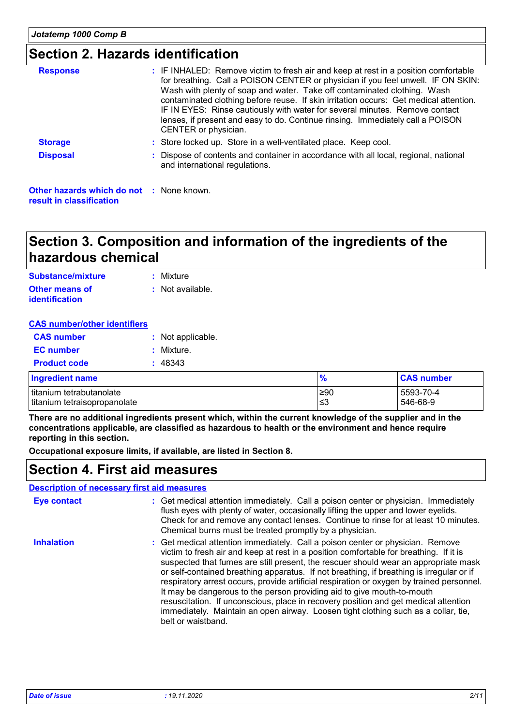### **Section 2. Hazards identification**

| <b>Response</b>                                                             | : IF INHALED: Remove victim to fresh air and keep at rest in a position comfortable<br>for breathing. Call a POISON CENTER or physician if you feel unwell. IF ON SKIN:<br>Wash with plenty of soap and water. Take off contaminated clothing. Wash<br>contaminated clothing before reuse. If skin irritation occurs: Get medical attention.<br>IF IN EYES: Rinse cautiously with water for several minutes. Remove contact<br>lenses, if present and easy to do. Continue rinsing. Immediately call a POISON<br>CENTER or physician. |
|-----------------------------------------------------------------------------|---------------------------------------------------------------------------------------------------------------------------------------------------------------------------------------------------------------------------------------------------------------------------------------------------------------------------------------------------------------------------------------------------------------------------------------------------------------------------------------------------------------------------------------|
| <b>Storage</b>                                                              | : Store locked up. Store in a well-ventilated place. Keep cool.                                                                                                                                                                                                                                                                                                                                                                                                                                                                       |
| <b>Disposal</b>                                                             | : Dispose of contents and container in accordance with all local, regional, national<br>and international regulations.                                                                                                                                                                                                                                                                                                                                                                                                                |
| <b>Other hazards which do not : None known.</b><br>result in classification |                                                                                                                                                                                                                                                                                                                                                                                                                                                                                                                                       |

### **Section 3. Composition and information of the ingredients of the hazardous chemical**

| Substance/mixture     | : Mixture        |
|-----------------------|------------------|
| <b>Other means of</b> | : Not available. |
| <b>identification</b> |                  |

#### **CAS number/other identifiers**

| <b>CAS number</b>      | : Not applicable. |
|------------------------|-------------------|
| <b>EC</b> number       | : Mixture.        |
| <b>Product code</b>    | : 48343           |
| <b>Ingradiant nama</b> |                   |

| <b>Ingredient name</b>       | $\frac{9}{6}$ | <b>CAS number</b> |
|------------------------------|---------------|-------------------|
| titanium tetrabutanolate     | ≥90           | 5593-70-4         |
| titanium tetraisopropanolate | ≤3            | 546-68-9          |

**There are no additional ingredients present which, within the current knowledge of the supplier and in the concentrations applicable, are classified as hazardous to health or the environment and hence require reporting in this section.**

**Occupational exposure limits, if available, are listed in Section 8.**

### **Section 4. First aid measures**

#### **Description of necessary first aid measures**

| <b>Eye contact</b> | : Get medical attention immediately. Call a poison center or physician. Immediately<br>flush eyes with plenty of water, occasionally lifting the upper and lower eyelids.<br>Check for and remove any contact lenses. Continue to rinse for at least 10 minutes.<br>Chemical burns must be treated promptly by a physician.                                                                                                                                                                                                                                                                                                                                                                                                           |
|--------------------|---------------------------------------------------------------------------------------------------------------------------------------------------------------------------------------------------------------------------------------------------------------------------------------------------------------------------------------------------------------------------------------------------------------------------------------------------------------------------------------------------------------------------------------------------------------------------------------------------------------------------------------------------------------------------------------------------------------------------------------|
| <b>Inhalation</b>  | : Get medical attention immediately. Call a poison center or physician. Remove<br>victim to fresh air and keep at rest in a position comfortable for breathing. If it is<br>suspected that fumes are still present, the rescuer should wear an appropriate mask<br>or self-contained breathing apparatus. If not breathing, if breathing is irregular or if<br>respiratory arrest occurs, provide artificial respiration or oxygen by trained personnel.<br>It may be dangerous to the person providing aid to give mouth-to-mouth<br>resuscitation. If unconscious, place in recovery position and get medical attention<br>immediately. Maintain an open airway. Loosen tight clothing such as a collar, tie,<br>belt or waistband. |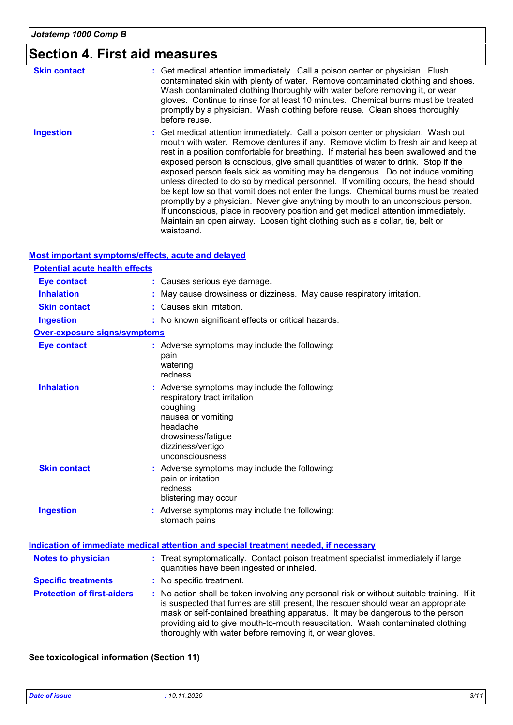### **Section 4. First aid measures**

| <b>Skin contact</b> | : Get medical attention immediately. Call a poison center or physician. Flush<br>contaminated skin with plenty of water. Remove contaminated clothing and shoes.<br>Wash contaminated clothing thoroughly with water before removing it, or wear<br>gloves. Continue to rinse for at least 10 minutes. Chemical burns must be treated<br>promptly by a physician. Wash clothing before reuse. Clean shoes thoroughly<br>before reuse.                                                                                                                                                                                                                                                                                                                                                                                                                                                  |
|---------------------|----------------------------------------------------------------------------------------------------------------------------------------------------------------------------------------------------------------------------------------------------------------------------------------------------------------------------------------------------------------------------------------------------------------------------------------------------------------------------------------------------------------------------------------------------------------------------------------------------------------------------------------------------------------------------------------------------------------------------------------------------------------------------------------------------------------------------------------------------------------------------------------|
| <b>Ingestion</b>    | : Get medical attention immediately. Call a poison center or physician. Wash out<br>mouth with water. Remove dentures if any. Remove victim to fresh air and keep at<br>rest in a position comfortable for breathing. If material has been swallowed and the<br>exposed person is conscious, give small quantities of water to drink. Stop if the<br>exposed person feels sick as vomiting may be dangerous. Do not induce vomiting<br>unless directed to do so by medical personnel. If vomiting occurs, the head should<br>be kept low so that vomit does not enter the lungs. Chemical burns must be treated<br>promptly by a physician. Never give anything by mouth to an unconscious person.<br>If unconscious, place in recovery position and get medical attention immediately.<br>Maintain an open airway. Loosen tight clothing such as a collar, tie, belt or<br>waistband. |

#### **Most important symptoms/effects, acute and delayed**

| <b>Potential acute health effects</b> |                                                                                                                                                                                                                                                                                                                                                    |
|---------------------------------------|----------------------------------------------------------------------------------------------------------------------------------------------------------------------------------------------------------------------------------------------------------------------------------------------------------------------------------------------------|
| <b>Eye contact</b>                    | : Causes serious eye damage.                                                                                                                                                                                                                                                                                                                       |
| <b>Inhalation</b>                     | May cause drowsiness or dizziness. May cause respiratory irritation.                                                                                                                                                                                                                                                                               |
| <b>Skin contact</b>                   | : Causes skin irritation.                                                                                                                                                                                                                                                                                                                          |
| <b>Ingestion</b>                      | : No known significant effects or critical hazards.                                                                                                                                                                                                                                                                                                |
| <b>Over-exposure signs/symptoms</b>   |                                                                                                                                                                                                                                                                                                                                                    |
| <b>Eye contact</b>                    | : Adverse symptoms may include the following:<br>pain<br>watering<br>redness                                                                                                                                                                                                                                                                       |
| <b>Inhalation</b>                     | : Adverse symptoms may include the following:<br>respiratory tract irritation<br>coughing<br>nausea or vomiting<br>headache<br>drowsiness/fatigue<br>dizziness/vertigo<br>unconsciousness                                                                                                                                                          |
| <b>Skin contact</b>                   | : Adverse symptoms may include the following:<br>pain or irritation<br>redness<br>blistering may occur                                                                                                                                                                                                                                             |
| <b>Ingestion</b>                      | : Adverse symptoms may include the following:<br>stomach pains                                                                                                                                                                                                                                                                                     |
|                                       | <b>Indication of immediate medical attention and special treatment needed, if necessary</b>                                                                                                                                                                                                                                                        |
| <b>Notes to physician</b>             | : Treat symptomatically. Contact poison treatment specialist immediately if large<br>quantities have been ingested or inhaled.                                                                                                                                                                                                                     |
| <b>Specific treatments</b>            | : No specific treatment.                                                                                                                                                                                                                                                                                                                           |
| <b>Protection of first-aiders</b>     | : No action shall be taken involving any personal risk or without suitable training. If it<br>is suspected that fumes are still present, the rescuer should wear an appropriate<br>mask or self-contained breathing apparatus. It may be dangerous to the person<br>providing aid to give mouth-to-mouth resuscitation. Wash contaminated clothing |

thoroughly with water before removing it, or wear gloves.

#### **See toxicological information (Section 11)**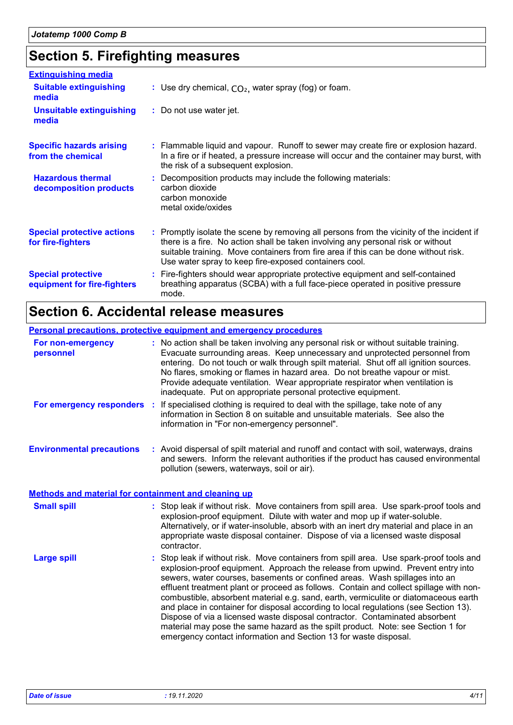## **Section 5. Firefighting measures**

| <b>Extinguishing media</b>                               |                                                                                                                                                                                                                                                                                                                               |
|----------------------------------------------------------|-------------------------------------------------------------------------------------------------------------------------------------------------------------------------------------------------------------------------------------------------------------------------------------------------------------------------------|
| <b>Suitable extinguishing</b><br>media                   | : Use dry chemical, $CO2$ , water spray (fog) or foam.                                                                                                                                                                                                                                                                        |
| <b>Unsuitable extinguishing</b><br>media                 | : Do not use water jet.                                                                                                                                                                                                                                                                                                       |
| <b>Specific hazards arising</b><br>from the chemical     | : Flammable liquid and vapour. Runoff to sewer may create fire or explosion hazard.<br>In a fire or if heated, a pressure increase will occur and the container may burst, with<br>the risk of a subsequent explosion.                                                                                                        |
| <b>Hazardous thermal</b><br>decomposition products       | : Decomposition products may include the following materials:<br>carbon dioxide<br>carbon monoxide<br>metal oxide/oxides                                                                                                                                                                                                      |
| <b>Special protective actions</b><br>for fire-fighters   | : Promptly isolate the scene by removing all persons from the vicinity of the incident if<br>there is a fire. No action shall be taken involving any personal risk or without<br>suitable training. Move containers from fire area if this can be done without risk.<br>Use water spray to keep fire-exposed containers cool. |
| <b>Special protective</b><br>equipment for fire-fighters | : Fire-fighters should wear appropriate protective equipment and self-contained<br>breathing apparatus (SCBA) with a full face-piece operated in positive pressure<br>mode.                                                                                                                                                   |

### **Section 6. Accidental release measures**

|                                                             | <b>Personal precautions, protective equipment and emergency procedures</b>                                                                                                                                                                                                                                                                                                                                                                                                                                                                                                                                                                                                                                                                                              |
|-------------------------------------------------------------|-------------------------------------------------------------------------------------------------------------------------------------------------------------------------------------------------------------------------------------------------------------------------------------------------------------------------------------------------------------------------------------------------------------------------------------------------------------------------------------------------------------------------------------------------------------------------------------------------------------------------------------------------------------------------------------------------------------------------------------------------------------------------|
| For non-emergency<br>personnel                              | : No action shall be taken involving any personal risk or without suitable training.<br>Evacuate surrounding areas. Keep unnecessary and unprotected personnel from<br>entering. Do not touch or walk through spilt material. Shut off all ignition sources.<br>No flares, smoking or flames in hazard area. Do not breathe vapour or mist.<br>Provide adequate ventilation. Wear appropriate respirator when ventilation is<br>inadequate. Put on appropriate personal protective equipment.                                                                                                                                                                                                                                                                           |
| For emergency responders                                    | If specialised clothing is required to deal with the spillage, take note of any<br>÷<br>information in Section 8 on suitable and unsuitable materials. See also the<br>information in "For non-emergency personnel".                                                                                                                                                                                                                                                                                                                                                                                                                                                                                                                                                    |
| <b>Environmental precautions</b>                            | : Avoid dispersal of spilt material and runoff and contact with soil, waterways, drains<br>and sewers. Inform the relevant authorities if the product has caused environmental<br>pollution (sewers, waterways, soil or air).                                                                                                                                                                                                                                                                                                                                                                                                                                                                                                                                           |
| <b>Methods and material for containment and cleaning up</b> |                                                                                                                                                                                                                                                                                                                                                                                                                                                                                                                                                                                                                                                                                                                                                                         |
| <b>Small spill</b>                                          | : Stop leak if without risk. Move containers from spill area. Use spark-proof tools and<br>explosion-proof equipment. Dilute with water and mop up if water-soluble.<br>Alternatively, or if water-insoluble, absorb with an inert dry material and place in an<br>appropriate waste disposal container. Dispose of via a licensed waste disposal<br>contractor.                                                                                                                                                                                                                                                                                                                                                                                                        |
| <b>Large spill</b>                                          | : Stop leak if without risk. Move containers from spill area. Use spark-proof tools and<br>explosion-proof equipment. Approach the release from upwind. Prevent entry into<br>sewers, water courses, basements or confined areas. Wash spillages into an<br>effluent treatment plant or proceed as follows. Contain and collect spillage with non-<br>combustible, absorbent material e.g. sand, earth, vermiculite or diatomaceous earth<br>and place in container for disposal according to local regulations (see Section 13).<br>Dispose of via a licensed waste disposal contractor. Contaminated absorbent<br>material may pose the same hazard as the spilt product. Note: see Section 1 for<br>emergency contact information and Section 13 for waste disposal. |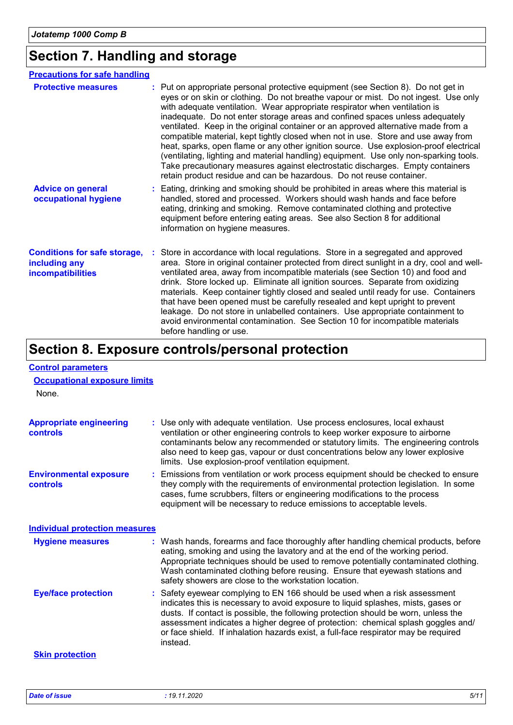## **Section 7. Handling and storage**

| <b>Precautions for safe handling</b>                                      |                                                                                                                                                                                                                                                                                                                                                                                                                                                                                                                                                                                                                                                                                                                                                                                                                                                              |
|---------------------------------------------------------------------------|--------------------------------------------------------------------------------------------------------------------------------------------------------------------------------------------------------------------------------------------------------------------------------------------------------------------------------------------------------------------------------------------------------------------------------------------------------------------------------------------------------------------------------------------------------------------------------------------------------------------------------------------------------------------------------------------------------------------------------------------------------------------------------------------------------------------------------------------------------------|
| <b>Protective measures</b>                                                | : Put on appropriate personal protective equipment (see Section 8). Do not get in<br>eyes or on skin or clothing. Do not breathe vapour or mist. Do not ingest. Use only<br>with adequate ventilation. Wear appropriate respirator when ventilation is<br>inadequate. Do not enter storage areas and confined spaces unless adequately<br>ventilated. Keep in the original container or an approved alternative made from a<br>compatible material, kept tightly closed when not in use. Store and use away from<br>heat, sparks, open flame or any other ignition source. Use explosion-proof electrical<br>(ventilating, lighting and material handling) equipment. Use only non-sparking tools.<br>Take precautionary measures against electrostatic discharges. Empty containers<br>retain product residue and can be hazardous. Do not reuse container. |
| <b>Advice on general</b><br>occupational hygiene                          | : Eating, drinking and smoking should be prohibited in areas where this material is<br>handled, stored and processed. Workers should wash hands and face before<br>eating, drinking and smoking. Remove contaminated clothing and protective<br>equipment before entering eating areas. See also Section 8 for additional<br>information on hygiene measures.                                                                                                                                                                                                                                                                                                                                                                                                                                                                                                |
| <b>Conditions for safe storage,</b><br>including any<br>incompatibilities | Store in accordance with local regulations. Store in a segregated and approved<br>area. Store in original container protected from direct sunlight in a dry, cool and well-<br>ventilated area, away from incompatible materials (see Section 10) and food and<br>drink. Store locked up. Eliminate all ignition sources. Separate from oxidizing<br>materials. Keep container tightly closed and sealed until ready for use. Containers<br>that have been opened must be carefully resealed and kept upright to prevent<br>leakage. Do not store in unlabelled containers. Use appropriate containment to<br>avoid environmental contamination. See Section 10 for incompatible materials<br>before handling or use.                                                                                                                                        |

## **Section 8. Exposure controls/personal protection**

| <b>Control parameters</b><br><b>Occupational exposure limits</b><br>None. |                                                                                                                                                                                                                                                                                                                                                                                                                                              |
|---------------------------------------------------------------------------|----------------------------------------------------------------------------------------------------------------------------------------------------------------------------------------------------------------------------------------------------------------------------------------------------------------------------------------------------------------------------------------------------------------------------------------------|
|                                                                           |                                                                                                                                                                                                                                                                                                                                                                                                                                              |
| <b>Appropriate engineering</b><br>controls                                | : Use only with adequate ventilation. Use process enclosures, local exhaust<br>ventilation or other engineering controls to keep worker exposure to airborne<br>contaminants below any recommended or statutory limits. The engineering controls<br>also need to keep gas, vapour or dust concentrations below any lower explosive<br>limits. Use explosion-proof ventilation equipment.                                                     |
| <b>Environmental exposure</b><br>controls                                 | : Emissions from ventilation or work process equipment should be checked to ensure<br>they comply with the requirements of environmental protection legislation. In some<br>cases, fume scrubbers, filters or engineering modifications to the process<br>equipment will be necessary to reduce emissions to acceptable levels.                                                                                                              |
| <b>Individual protection measures</b>                                     |                                                                                                                                                                                                                                                                                                                                                                                                                                              |
| <b>Hygiene measures</b>                                                   | : Wash hands, forearms and face thoroughly after handling chemical products, before<br>eating, smoking and using the lavatory and at the end of the working period.<br>Appropriate techniques should be used to remove potentially contaminated clothing.<br>Wash contaminated clothing before reusing. Ensure that eyewash stations and<br>safety showers are close to the workstation location.                                            |
| <b>Eye/face protection</b>                                                | : Safety eyewear complying to EN 166 should be used when a risk assessment<br>indicates this is necessary to avoid exposure to liquid splashes, mists, gases or<br>dusts. If contact is possible, the following protection should be worn, unless the<br>assessment indicates a higher degree of protection: chemical splash goggles and/<br>or face shield. If inhalation hazards exist, a full-face respirator may be required<br>instead. |
| <b>Skin protection</b>                                                    |                                                                                                                                                                                                                                                                                                                                                                                                                                              |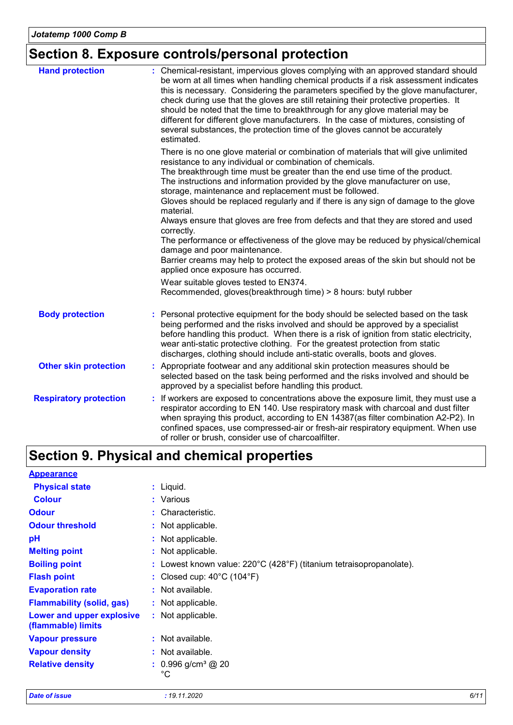### **Section 8. Exposure controls/personal protection**

| <b>Hand protection</b>        | : Chemical-resistant, impervious gloves complying with an approved standard should<br>be worn at all times when handling chemical products if a risk assessment indicates<br>this is necessary. Considering the parameters specified by the glove manufacturer,<br>check during use that the gloves are still retaining their protective properties. It<br>should be noted that the time to breakthrough for any glove material may be<br>different for different glove manufacturers. In the case of mixtures, consisting of<br>several substances, the protection time of the gloves cannot be accurately<br>estimated. |
|-------------------------------|---------------------------------------------------------------------------------------------------------------------------------------------------------------------------------------------------------------------------------------------------------------------------------------------------------------------------------------------------------------------------------------------------------------------------------------------------------------------------------------------------------------------------------------------------------------------------------------------------------------------------|
|                               | There is no one glove material or combination of materials that will give unlimited<br>resistance to any individual or combination of chemicals.<br>The breakthrough time must be greater than the end use time of the product.<br>The instructions and information provided by the glove manufacturer on use,<br>storage, maintenance and replacement must be followed.<br>Gloves should be replaced regularly and if there is any sign of damage to the glove                                                                                                                                                           |
|                               | material.<br>Always ensure that gloves are free from defects and that they are stored and used<br>correctly.<br>The performance or effectiveness of the glove may be reduced by physical/chemical<br>damage and poor maintenance.                                                                                                                                                                                                                                                                                                                                                                                         |
|                               | Barrier creams may help to protect the exposed areas of the skin but should not be<br>applied once exposure has occurred.<br>Wear suitable gloves tested to EN374.                                                                                                                                                                                                                                                                                                                                                                                                                                                        |
|                               | Recommended, gloves(breakthrough time) > 8 hours: butyl rubber                                                                                                                                                                                                                                                                                                                                                                                                                                                                                                                                                            |
| <b>Body protection</b>        | Personal protective equipment for the body should be selected based on the task<br>being performed and the risks involved and should be approved by a specialist<br>before handling this product. When there is a risk of ignition from static electricity,<br>wear anti-static protective clothing. For the greatest protection from static<br>discharges, clothing should include anti-static overalls, boots and gloves.                                                                                                                                                                                               |
| <b>Other skin protection</b>  | : Appropriate footwear and any additional skin protection measures should be<br>selected based on the task being performed and the risks involved and should be<br>approved by a specialist before handling this product.                                                                                                                                                                                                                                                                                                                                                                                                 |
| <b>Respiratory protection</b> | : If workers are exposed to concentrations above the exposure limit, they must use a<br>respirator according to EN 140. Use respiratory mask with charcoal and dust filter<br>when spraying this product, according to EN 14387(as filter combination A2-P2). In<br>confined spaces, use compressed-air or fresh-air respiratory equipment. When use<br>of roller or brush, consider use of charcoalfilter.                                                                                                                                                                                                               |

## **Section 9. Physical and chemical properties**

| <b>Appearance</b>                               |                                                                                          |
|-------------------------------------------------|------------------------------------------------------------------------------------------|
| <b>Physical state</b>                           | $:$ Liquid.                                                                              |
| <b>Colour</b>                                   | : Various                                                                                |
| <b>Odour</b>                                    | : Characteristic.                                                                        |
| <b>Odour threshold</b>                          | : Not applicable.                                                                        |
| рH                                              | : Not applicable.                                                                        |
| <b>Melting point</b>                            | : Not applicable.                                                                        |
| <b>Boiling point</b>                            | : Lowest known value: $220^{\circ}$ C (428 $^{\circ}$ F) (titanium tetraisopropanolate). |
| <b>Flash point</b>                              | : Closed cup: $40^{\circ}$ C (104 $^{\circ}$ F)                                          |
| <b>Evaporation rate</b>                         | $:$ Not available.                                                                       |
| <b>Flammability (solid, gas)</b>                | : Not applicable.                                                                        |
| Lower and upper explosive<br>(flammable) limits | : Not applicable.                                                                        |
| <b>Vapour pressure</b>                          | : Not available.                                                                         |
| <b>Vapour density</b>                           | $:$ Not available.                                                                       |
| <b>Relative density</b>                         | $: 0.996$ g/cm <sup>3</sup> @ 20<br>$^{\circ}C$                                          |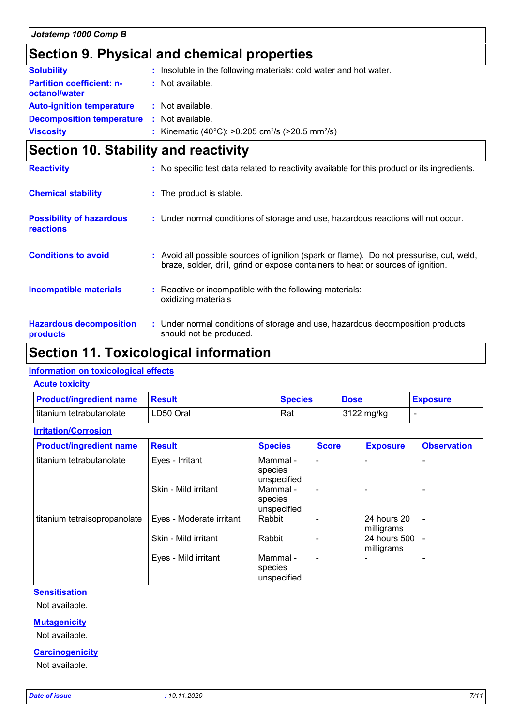### **Section 9. Physical and chemical properties**

| <b>Solubility</b>                                 | : Insoluble in the following materials: cold water and hot water.        |
|---------------------------------------------------|--------------------------------------------------------------------------|
| <b>Partition coefficient: n-</b><br>octanol/water | : Not available.                                                         |
| <b>Auto-ignition temperature</b>                  | : Not available.                                                         |
| <b>Decomposition temperature :</b> Not available. |                                                                          |
| <b>Viscosity</b>                                  | : Kinematic (40°C): >0.205 cm <sup>2</sup> /s (>20.5 mm <sup>2</sup> /s) |

### **Section 10. Stability and reactivity**

| <b>Reactivity</b>                            | : No specific test data related to reactivity available for this product or its ingredients.                                                                                 |
|----------------------------------------------|------------------------------------------------------------------------------------------------------------------------------------------------------------------------------|
| <b>Chemical stability</b>                    | : The product is stable.                                                                                                                                                     |
| <b>Possibility of hazardous</b><br>reactions | : Under normal conditions of storage and use, hazardous reactions will not occur.                                                                                            |
| <b>Conditions to avoid</b>                   | : Avoid all possible sources of ignition (spark or flame). Do not pressurise, cut, weld,<br>braze, solder, drill, grind or expose containers to heat or sources of ignition. |
| Incompatible materials                       | : Reactive or incompatible with the following materials:<br>oxidizing materials                                                                                              |
| <b>Hazardous decomposition</b><br>products   | : Under normal conditions of storage and use, hazardous decomposition products<br>should not be produced.                                                                    |

### **Section 11. Toxicological information**

#### **Information on toxicological effects**

#### **Acute toxicity**

**Irritation/Corrosion**

| <b>Product/ingredient name</b> | <b>⊟Result</b> | <b>Species</b> | <b>Dose</b> | <b>Exposure</b> |
|--------------------------------|----------------|----------------|-------------|-----------------|
| titanium tetrabutanolate       | LD50 Oral      | Rat            | 3122 mg/kg  |                 |

| <b>Product/ingredient name</b> | <b>Result</b>            | <b>Species</b>                     | <b>Score</b> | <b>Exposure</b>            | <b>Observation</b> |
|--------------------------------|--------------------------|------------------------------------|--------------|----------------------------|--------------------|
| titanium tetrabutanolate       | Eyes - Irritant          | Mammal -<br>species<br>unspecified |              |                            |                    |
|                                | Skin - Mild irritant     | Mammal -<br>species<br>unspecified |              |                            |                    |
| titanium tetraisopropanolate   | Eyes - Moderate irritant | Rabbit                             |              | l24 hours 20<br>milligrams | $\blacksquare$     |
|                                | Skin - Mild irritant     | Rabbit                             |              | 24 hours 500<br>milligrams |                    |
|                                | Eyes - Mild irritant     | Mammal -<br>species<br>unspecified |              |                            |                    |

#### **Sensitisation**

Not available.

#### **Mutagenicity**

Not available.

#### **Carcinogenicity**

Not available.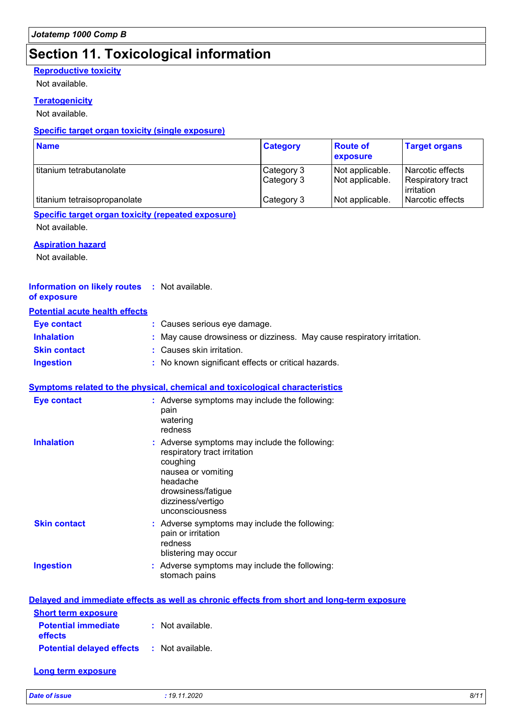### **Section 11. Toxicological information**

#### **Reproductive toxicity**

Not available.

#### **Teratogenicity**

Not available.

#### **Specific target organ toxicity (single exposure)**

| <b>Name</b>                  | <b>Category</b>          | <b>Route of</b><br><b>exposure</b> | <b>Target organs</b>                                |
|------------------------------|--------------------------|------------------------------------|-----------------------------------------------------|
| l titanium tetrabutanolate   | Category 3<br>Category 3 | Not applicable.<br>Not applicable. | Narcotic effects<br>Respiratory tract<br>irritation |
| titanium tetraisopropanolate | Category 3               | Not applicable.                    | Narcotic effects                                    |

#### **Specific target organ toxicity (repeated exposure)**

Not available.

#### **Aspiration hazard**

Not available.

#### **Information on likely routes :** Not available. **of exposure**

#### **Potential acute health effects**

| <b>Eve contact</b>  | : Causes serious eye damage.                                           |
|---------------------|------------------------------------------------------------------------|
| <b>Inhalation</b>   | : May cause drowsiness or dizziness. May cause respiratory irritation. |
| <b>Skin contact</b> | : Causes skin irritation.                                              |
| <b>Ingestion</b>    | : No known significant effects or critical hazards.                    |

#### **Symptoms related to the physical, chemical and toxicological characteristics**

| <b>Eye contact</b>  | : Adverse symptoms may include the following:<br>pain<br>watering<br>redness                                                                                                              |
|---------------------|-------------------------------------------------------------------------------------------------------------------------------------------------------------------------------------------|
| <b>Inhalation</b>   | : Adverse symptoms may include the following:<br>respiratory tract irritation<br>coughing<br>nausea or vomiting<br>headache<br>drowsiness/fatigue<br>dizziness/vertigo<br>unconsciousness |
| <b>Skin contact</b> | : Adverse symptoms may include the following:<br>pain or irritation<br>redness<br>blistering may occur                                                                                    |
| <b>Ingestion</b>    | : Adverse symptoms may include the following:<br>stomach pains                                                                                                                            |

|                                                   | Delayed and immediate effects as well as chronic effects from short and long-term exposure |
|---------------------------------------------------|--------------------------------------------------------------------------------------------|
| <b>Short term exposure</b>                        |                                                                                            |
| <b>Potential immediate</b><br><b>effects</b>      | : Not available.                                                                           |
| <b>Potential delayed effects : Not available.</b> |                                                                                            |

#### **Long term exposure**

*Date of issue : 19.11.2020 8/11*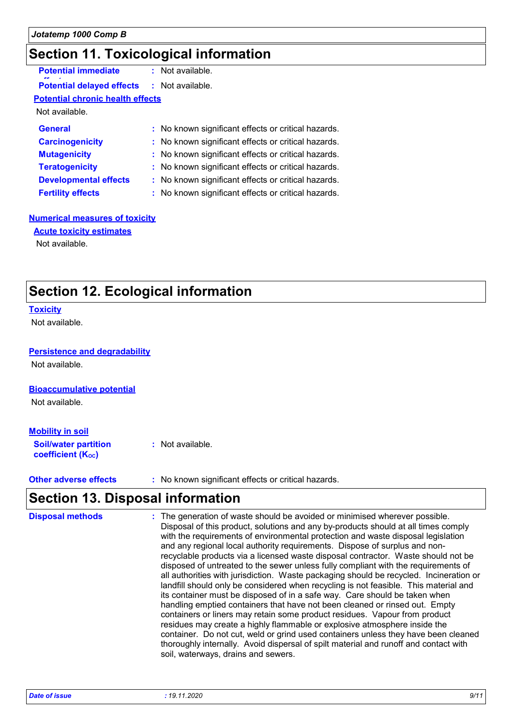### **Section 11. Toxicological information**

| <b>Potential immediate</b>              | : Not available.                                    |  |
|-----------------------------------------|-----------------------------------------------------|--|
| <b>Potential delayed effects</b>        | : Not available.                                    |  |
| <b>Potential chronic health effects</b> |                                                     |  |
| Not available.                          |                                                     |  |
| <b>General</b>                          | : No known significant effects or critical hazards. |  |
| <b>Carcinogenicity</b>                  | : No known significant effects or critical hazards. |  |
| <b>Mutagenicity</b>                     | : No known significant effects or critical hazards. |  |
| <b>Teratogenicity</b>                   | : No known significant effects or critical hazards. |  |
| <b>Developmental effects</b>            | : No known significant effects or critical hazards. |  |
| <b>Fertility effects</b>                | : No known significant effects or critical hazards. |  |

#### **Numerical measures of toxicity**

**Acute toxicity estimates**

Not available.

### **Section 12. Ecological information**

#### **Toxicity**

Not available.

#### **Persistence and degradability**

Not available.

#### **Bioaccumulative potential**

Not available.

#### **Mobility in soil**

**Soil/water partition coefficient (KOC) :** Not available.

**Other adverse effects** : No known significant effects or critical hazards.

### **Section 13. Disposal information**

| <b>Disposal methods</b> | : The generation of waste should be avoided or minimised wherever possible.<br>Disposal of this product, solutions and any by-products should at all times comply<br>with the requirements of environmental protection and waste disposal legislation<br>and any regional local authority requirements. Dispose of surplus and non-<br>recyclable products via a licensed waste disposal contractor. Waste should not be<br>disposed of untreated to the sewer unless fully compliant with the requirements of<br>all authorities with jurisdiction. Waste packaging should be recycled. Incineration or<br>landfill should only be considered when recycling is not feasible. This material and<br>its container must be disposed of in a safe way. Care should be taken when<br>handling emptied containers that have not been cleaned or rinsed out. Empty<br>containers or liners may retain some product residues. Vapour from product<br>residues may create a highly flammable or explosive atmosphere inside the<br>container. Do not cut, weld or grind used containers unless they have been cleaned<br>thoroughly internally. Avoid dispersal of spilt material and runoff and contact with |
|-------------------------|--------------------------------------------------------------------------------------------------------------------------------------------------------------------------------------------------------------------------------------------------------------------------------------------------------------------------------------------------------------------------------------------------------------------------------------------------------------------------------------------------------------------------------------------------------------------------------------------------------------------------------------------------------------------------------------------------------------------------------------------------------------------------------------------------------------------------------------------------------------------------------------------------------------------------------------------------------------------------------------------------------------------------------------------------------------------------------------------------------------------------------------------------------------------------------------------------------|
|                         | soil, waterways, drains and sewers.                                                                                                                                                                                                                                                                                                                                                                                                                                                                                                                                                                                                                                                                                                                                                                                                                                                                                                                                                                                                                                                                                                                                                                    |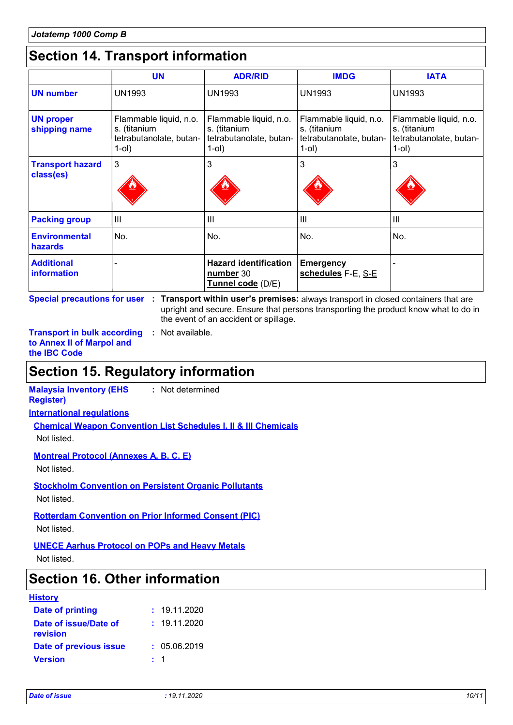### **Section 14. Transport information**

|                                      | <b>UN</b>                                                                  | <b>ADR/RID</b>                                                                | <b>IMDG</b>                                                                      | <b>IATA</b>                                                                   |
|--------------------------------------|----------------------------------------------------------------------------|-------------------------------------------------------------------------------|----------------------------------------------------------------------------------|-------------------------------------------------------------------------------|
| <b>UN number</b>                     | <b>UN1993</b>                                                              | <b>UN1993</b>                                                                 | <b>UN1993</b>                                                                    | <b>UN1993</b>                                                                 |
| <b>UN proper</b><br>shipping name    | Flammable liquid, n.o.<br>s. (titanium<br>tetrabutanolate, butan-<br>1-ol) | Flammable liquid, n.o.<br>s. (titanium<br>tetrabutanolate, butan-<br>$1$ -ol) | Flammable liquid, n.o.<br>s. (titanium<br>tetrabutanolate, butan-<br>$1$ -ol $)$ | Flammable liquid, n.o.<br>s. (titanium<br>tetrabutanolate, butan-<br>$1$ -ol) |
| <b>Transport hazard</b><br>class(es) | 3                                                                          | 3                                                                             | 3                                                                                | 3                                                                             |
| <b>Packing group</b>                 | $\mathbf{III}$                                                             | III                                                                           | III                                                                              | Ш                                                                             |
| <b>Environmental</b><br>hazards      | No.                                                                        | No.                                                                           | No.                                                                              | No.                                                                           |
| <b>Additional</b><br>information     |                                                                            | <b>Hazard identification</b><br>number 30<br>Tunnel code (D/E)                | <b>Emergency</b><br>schedules F-E, S-E                                           |                                                                               |

**Special precautions for user Transport within user's premises:** always transport in closed containers that are **:** upright and secure. Ensure that persons transporting the product know what to do in the event of an accident or spillage.

**Transport in bulk according :** Not available. **to Annex II of Marpol and the IBC Code**

### **Section 15. Regulatory information**

**Malaysia Inventory (EHS :** Not determined

**Register)**

**International regulations**

**Chemical Weapon Convention List Schedules I, II & III Chemicals**

Not listed.

**Montreal Protocol (Annexes A, B, C, E)**

Not listed.

**Stockholm Convention on Persistent Organic Pollutants** Not listed.

**Rotterdam Convention on Prior Informed Consent (PIC)**

Not listed.

**UNECE Aarhus Protocol on POPs and Heavy Metals**

Not listed.

### **Section 16. Other information**

| <b>History</b> |
|----------------|
|----------------|

| Date of printing                  | : 19.11.2020 |
|-----------------------------------|--------------|
| Date of issue/Date of<br>revision | : 19.11.2020 |
| Date of previous issue            | : 05.06.2019 |
| <b>Version</b>                    | $\pm$ 1      |